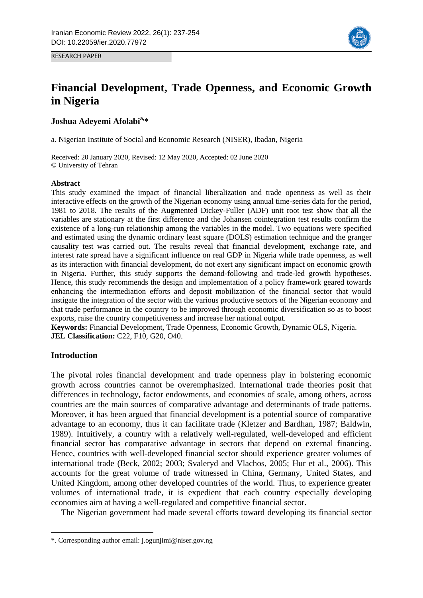

RESEARCH PAPER

# **Financial Development, Trade Openness, and Economic Growth in Nigeria**

# **Joshua Adeyemi Afolabia,\***

a. Nigerian Institute of Social and Economic Research (NISER), Ibadan, Nigeria

Received: 20 January 2020, Revised: 12 May 2020, Accepted: 02 June 2020 © University of Tehran

## **Abstract**

This study examined the impact of financial liberalization and trade openness as well as their interactive effects on the growth of the Nigerian economy using annual time-series data for the period, 1981 to 2018. The results of the Augmented Dickey-Fuller (ADF) unit root test show that all the variables are stationary at the first difference and the Johansen cointegration test results confirm the existence of a long-run relationship among the variables in the model. Two equations were specified and estimated using the dynamic ordinary least square (DOLS) estimation technique and the granger causality test was carried out. The results reveal that financial development, exchange rate, and interest rate spread have a significant influence on real GDP in Nigeria while trade openness, as well as its interaction with financial development, do not exert any significant impact on economic growth in Nigeria. Further, this study supports the demand-following and trade-led growth hypotheses. Hence, this study recommends the design and implementation of a policy framework geared towards enhancing the intermediation efforts and deposit mobilization of the financial sector that would instigate the integration of the sector with the various productive sectors of the Nigerian economy and that trade performance in the country to be improved through economic diversification so as to boost exports, raise the country competitiveness and increase her national output.

**Keywords:** Financial Development, Trade Openness, Economic Growth, Dynamic OLS, Nigeria. **JEL Classification: C22, F10, G20, O40.** 

# **Introduction**

**.** 

The pivotal roles financial development and trade openness play in bolstering economic growth across countries cannot be overemphasized. International trade theories posit that differences in technology, factor endowments, and economies of scale, among others, across countries are the main sources of comparative advantage and determinants of trade patterns. Moreover, it has been argued that financial development is a potential source of comparative advantage to an economy, thus it can facilitate trade (Kletzer and Bardhan, 1987; Baldwin, 1989). Intuitively, a country with a relatively well-regulated, well-developed and efficient financial sector has comparative advantage in sectors that depend on external financing. Hence, countries with well-developed financial sector should experience greater volumes of international trade (Beck, 2002; 2003; Svaleryd and Vlachos, 2005; Hur et al., 2006). This accounts for the great volume of trade witnessed in China, Germany, United States, and United Kingdom, among other developed countries of the world. Thus, to experience greater volumes of international trade, it is expedient that each country especially developing economies aim at having a well-regulated and competitive financial sector.

The Nigerian government had made several efforts toward developing its financial sector

<sup>\*.</sup> Corresponding author email: j.ogunjimi@niser.gov.ng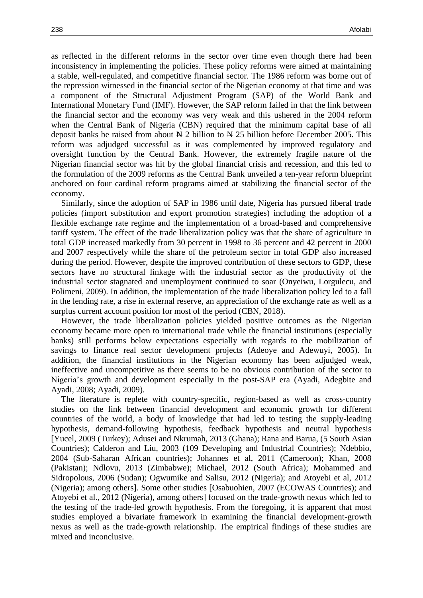as reflected in the different reforms in the sector over time even though there had been inconsistency in implementing the policies. These policy reforms were aimed at maintaining a stable, well-regulated, and competitive financial sector. The 1986 reform was borne out of the repression witnessed in the financial sector of the Nigerian economy at that time and was a component of the Structural Adjustment Program (SAP) of the World Bank and International Monetary Fund (IMF). However, the SAP reform failed in that the link between the financial sector and the economy was very weak and this ushered in the 2004 reform when the Central Bank of Nigeria (CBN) required that the minimum capital base of all deposit banks be raised from about  $\cancel{\text{N}}$  2 billion to  $\cancel{\text{N}}$  25 billion before December 2005. This reform was adjudged successful as it was complemented by improved regulatory and oversight function by the Central Bank. However, the extremely fragile nature of the Nigerian financial sector was hit by the global financial crisis and recession, and this led to the formulation of the 2009 reforms as the Central Bank unveiled a ten-year reform blueprint anchored on four cardinal reform programs aimed at stabilizing the financial sector of the economy.

Similarly, since the adoption of SAP in 1986 until date, Nigeria has pursued liberal trade policies (import substitution and export promotion strategies) including the adoption of a flexible exchange rate regime and the implementation of a broad-based and comprehensive tariff system. The effect of the trade liberalization policy was that the share of agriculture in total GDP increased markedly from 30 percent in 1998 to 36 percent and 42 percent in 2000 and 2007 respectively while the share of the petroleum sector in total GDP also increased during the period. However, despite the improved contribution of these sectors to GDP, these sectors have no structural linkage with the industrial sector as the productivity of the industrial sector stagnated and unemployment continued to soar (Onyeiwu, Lorgulecu, and Polimeni, 2009). In addition, the implementation of the trade liberalization policy led to a fall in the lending rate, a rise in external reserve, an appreciation of the exchange rate as well as a surplus current account position for most of the period (CBN, 2018).

However, the trade liberalization policies yielded positive outcomes as the Nigerian economy became more open to international trade while the financial institutions (especially banks) still performs below expectations especially with regards to the mobilization of savings to finance real sector development projects (Adeoye and Adewuyi, 2005). In addition, the financial institutions in the Nigerian economy has been adjudged weak, ineffective and uncompetitive as there seems to be no obvious contribution of the sector to Nigeria's growth and development especially in the post-SAP era (Ayadi, Adegbite and Ayadi, 2008; Ayadi, 2009).

The literature is replete with country-specific, region-based as well as cross-country studies on the link between financial development and economic growth for different countries of the world, a body of knowledge that had led to testing the supply-leading hypothesis, demand-following hypothesis, feedback hypothesis and neutral hypothesis [Yucel, 2009 (Turkey); Adusei and Nkrumah, 2013 (Ghana); Rana and Barua, (5 South Asian Countries); Calderon and Liu, 2003 (109 Developing and Industrial Countries); Ndebbio, 2004 (Sub-Saharan African countries); Johannes et al, 2011 (Cameroon); Khan, 2008 (Pakistan); Ndlovu, 2013 (Zimbabwe); Michael, 2012 (South Africa); Mohammed and Sidropolous, 2006 (Sudan); Ogwumike and Salisu, 2012 (Nigeria); and Atoyebi et al, 2012 (Nigeria); among others]. Some other studies [Osabuohien, 2007 (ECOWAS Countries); and Atoyebi et al., 2012 (Nigeria), among others] focused on the trade-growth nexus which led to the testing of the trade-led growth hypothesis. From the foregoing, it is apparent that most studies employed a bivariate framework in examining the financial development-growth nexus as well as the trade-growth relationship. The empirical findings of these studies are mixed and inconclusive.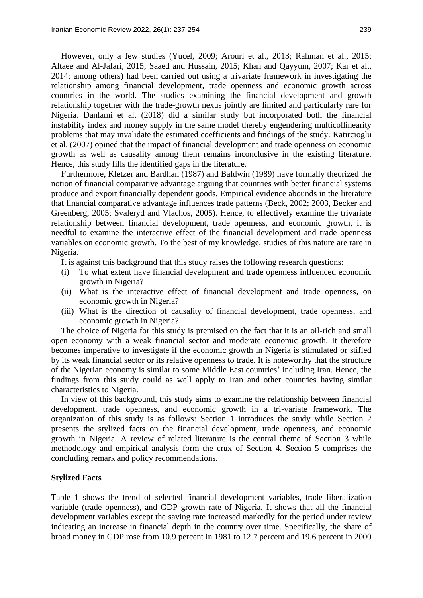However, only a few studies (Yucel, 2009; Arouri et al., 2013; Rahman et al., 2015; Altaee and Al-Jafari, 2015; Saaed and Hussain, 2015; Khan and Qayyum, 2007; Kar et al., 2014; among others) had been carried out using a trivariate framework in investigating the relationship among financial development, trade openness and economic growth across countries in the world. The studies examining the financial development and growth relationship together with the trade-growth nexus jointly are limited and particularly rare for Nigeria. Danlami et al. (2018) did a similar study but incorporated both the financial instability index and money supply in the same model thereby engendering multicollinearity problems that may invalidate the estimated coefficients and findings of the study. Katircioglu et al. (2007) opined that the impact of financial development and trade openness on economic growth as well as causality among them remains inconclusive in the existing literature. Hence, this study fills the identified gaps in the literature.

Furthermore, Kletzer and Bardhan (1987) and Baldwin (1989) have formally theorized the notion of financial comparative advantage arguing that countries with better financial systems produce and export financially dependent goods. Empirical evidence abounds in the literature that financial comparative advantage influences trade patterns (Beck, 2002; 2003, Becker and Greenberg, 2005; Svaleryd and Vlachos, 2005). Hence, to effectively examine the trivariate relationship between financial development, trade openness, and economic growth, it is needful to examine the interactive effect of the financial development and trade openness variables on economic growth. To the best of my knowledge, studies of this nature are rare in Nigeria.

It is against this background that this study raises the following research questions:

- (i) To what extent have financial development and trade openness influenced economic growth in Nigeria?
- (ii) What is the interactive effect of financial development and trade openness, on economic growth in Nigeria?
- (iii) What is the direction of causality of financial development, trade openness, and economic growth in Nigeria?

The choice of Nigeria for this study is premised on the fact that it is an oil-rich and small open economy with a weak financial sector and moderate economic growth. It therefore becomes imperative to investigate if the economic growth in Nigeria is stimulated or stifled by its weak financial sector or its relative openness to trade. It is noteworthy that the structure of the Nigerian economy is similar to some Middle East countries' including Iran. Hence, the findings from this study could as well apply to Iran and other countries having similar characteristics to Nigeria.

In view of this background, this study aims to examine the relationship between financial development, trade openness, and economic growth in a tri-variate framework. The organization of this study is as follows: Section 1 introduces the study while Section 2 presents the stylized facts on the financial development, trade openness, and economic growth in Nigeria. A review of related literature is the central theme of Section 3 while methodology and empirical analysis form the crux of Section 4. Section 5 comprises the concluding remark and policy recommendations.

## **Stylized Facts**

Table 1 shows the trend of selected financial development variables, trade liberalization variable (trade openness), and GDP growth rate of Nigeria. It shows that all the financial development variables except the saving rate increased markedly for the period under review indicating an increase in financial depth in the country over time. Specifically, the share of broad money in GDP rose from 10.9 percent in 1981 to 12.7 percent and 19.6 percent in 2000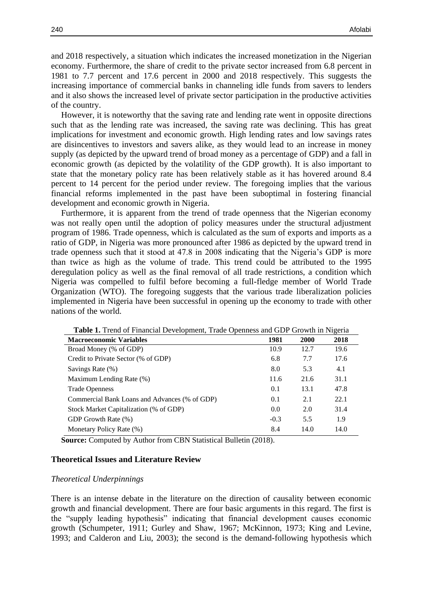and 2018 respectively, a situation which indicates the increased monetization in the Nigerian economy. Furthermore, the share of credit to the private sector increased from 6.8 percent in 1981 to 7.7 percent and 17.6 percent in 2000 and 2018 respectively. This suggests the increasing importance of commercial banks in channeling idle funds from savers to lenders and it also shows the increased level of private sector participation in the productive activities of the country.

However, it is noteworthy that the saving rate and lending rate went in opposite directions such that as the lending rate was increased, the saving rate was declining. This has great implications for investment and economic growth. High lending rates and low savings rates are disincentives to investors and savers alike, as they would lead to an increase in money supply (as depicted by the upward trend of broad money as a percentage of GDP) and a fall in economic growth (as depicted by the volatility of the GDP growth). It is also important to state that the monetary policy rate has been relatively stable as it has hovered around 8.4 percent to 14 percent for the period under review. The foregoing implies that the various financial reforms implemented in the past have been suboptimal in fostering financial development and economic growth in Nigeria.

Furthermore, it is apparent from the trend of trade openness that the Nigerian economy was not really open until the adoption of policy measures under the structural adjustment program of 1986. Trade openness, which is calculated as the sum of exports and imports as a ratio of GDP, in Nigeria was more pronounced after 1986 as depicted by the upward trend in trade openness such that it stood at 47.8 in 2008 indicating that the Nigeria's GDP is more than twice as high as the volume of trade. This trend could be attributed to the 1995 deregulation policy as well as the final removal of all trade restrictions, a condition which Nigeria was compelled to fulfil before becoming a full-fledge member of World Trade Organization (WTO). The foregoing suggests that the various trade liberalization policies implemented in Nigeria have been successful in opening up the economy to trade with other nations of the world.

| <b>Table 1.</b> Tiend of Financial Development, Trade Openness and ODF Growth in Nigeria |        |             |      |  |  |  |  |
|------------------------------------------------------------------------------------------|--------|-------------|------|--|--|--|--|
| <b>Macroeconomic Variables</b>                                                           | 1981   | <b>2000</b> | 2018 |  |  |  |  |
| Broad Money (% of GDP)                                                                   | 10.9   | 12.7        | 19.6 |  |  |  |  |
| Credit to Private Sector (% of GDP)                                                      | 6.8    | 7.7         | 17.6 |  |  |  |  |
| Savings Rate (%)                                                                         | 8.0    | 5.3         | 4.1  |  |  |  |  |
| Maximum Lending Rate (%)                                                                 | 11.6   | 21.6        | 31.1 |  |  |  |  |
| <b>Trade Openness</b>                                                                    | 0.1    | 13.1        | 47.8 |  |  |  |  |
| Commercial Bank Loans and Advances (% of GDP)                                            | 0.1    | 2.1         | 22.1 |  |  |  |  |
| Stock Market Capitalization (% of GDP)                                                   | 0.0    | 2.0         | 31.4 |  |  |  |  |
| GDP Growth Rate (%)                                                                      | $-0.3$ | 5.5         | 1.9  |  |  |  |  |
| Monetary Policy Rate (%)                                                                 | 8.4    | 14.0        | 14.0 |  |  |  |  |

**Table 1.** Trend of Financial Development, Trade Openness and GDP Growth in Nigeria

**Source:** Computed by Author from CBN Statistical Bulletin (2018).

## **Theoretical Issues and Literature Review**

#### *Theoretical Underpinnings*

There is an intense debate in the literature on the direction of causality between economic growth and financial development. There are four basic arguments in this regard. The first is the "supply leading hypothesis" indicating that financial development causes economic growth (Schumpeter, 1911; Gurley and Shaw, 1967; McKinnon, 1973; King and Levine, 1993; and Calderon and Liu, 2003); the second is the demand-following hypothesis which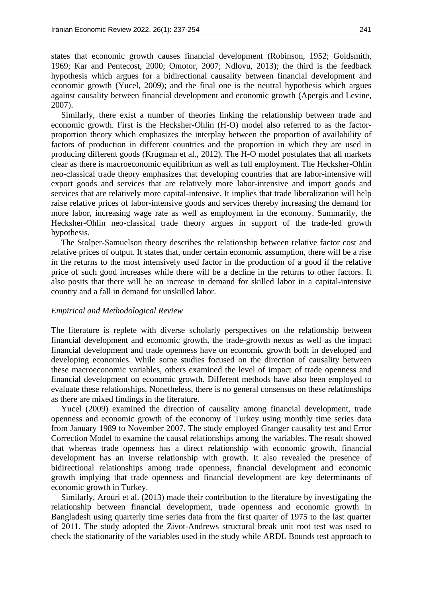states that economic growth causes financial development (Robinson, 1952; Goldsmith, 1969; Kar and Pentecost, 2000; Omotor, 2007; Ndlovu, 2013); the third is the feedback hypothesis which argues for a bidirectional causality between financial development and economic growth (Yucel, 2009); and the final one is the neutral hypothesis which argues against causality between financial development and economic growth (Apergis and Levine, 2007).

Similarly, there exist a number of theories linking the relationship between trade and economic growth. First is the Hecksher-Ohlin (H-O) model also referred to as the factorproportion theory which emphasizes the interplay between the proportion of availability of factors of production in different countries and the proportion in which they are used in producing different goods (Krugman et al., 2012). The H-O model postulates that all markets clear as there is macroeconomic equilibrium as well as full employment. The Hecksher-Ohlin neo-classical trade theory emphasizes that developing countries that are labor-intensive will export goods and services that are relatively more labor-intensive and import goods and services that are relatively more capital-intensive. It implies that trade liberalization will help raise relative prices of labor-intensive goods and services thereby increasing the demand for more labor, increasing wage rate as well as employment in the economy. Summarily, the Hecksher-Ohlin neo-classical trade theory argues in support of the trade-led growth hypothesis.

The Stolper-Samuelson theory describes the relationship between relative factor cost and relative prices of output. It states that, under certain economic assumption, there will be a rise in the returns to the most intensively used factor in the production of a good if the relative price of such good increases while there will be a decline in the returns to other factors. It also posits that there will be an increase in demand for skilled labor in a capital-intensive country and a fall in demand for unskilled labor.

## *Empirical and Methodological Review*

The literature is replete with diverse scholarly perspectives on the relationship between financial development and economic growth, the trade-growth nexus as well as the impact financial development and trade openness have on economic growth both in developed and developing economies. While some studies focused on the direction of causality between these macroeconomic variables, others examined the level of impact of trade openness and financial development on economic growth. Different methods have also been employed to evaluate these relationships. Nonetheless, there is no general consensus on these relationships as there are mixed findings in the literature.

Yucel (2009) examined the direction of causality among financial development, trade openness and economic growth of the economy of Turkey using monthly time series data from January 1989 to November 2007. The study employed Granger causality test and Error Correction Model to examine the causal relationships among the variables. The result showed that whereas trade openness has a direct relationship with economic growth, financial development has an inverse relationship with growth. It also revealed the presence of bidirectional relationships among trade openness, financial development and economic growth implying that trade openness and financial development are key determinants of economic growth in Turkey.

Similarly, Arouri et al. (2013) made their contribution to the literature by investigating the relationship between financial development, trade openness and economic growth in Bangladesh using quarterly time series data from the first quarter of 1975 to the last quarter of 2011. The study adopted the Zivot-Andrews structural break unit root test was used to check the stationarity of the variables used in the study while ARDL Bounds test approach to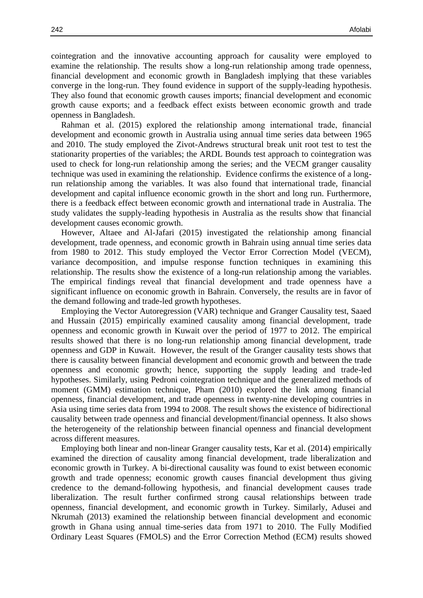cointegration and the innovative accounting approach for causality were employed to examine the relationship. The results show a long-run relationship among trade openness, financial development and economic growth in Bangladesh implying that these variables converge in the long-run. They found evidence in support of the supply-leading hypothesis. They also found that economic growth causes imports; financial development and economic growth cause exports; and a feedback effect exists between economic growth and trade openness in Bangladesh.

Rahman et al. (2015) explored the relationship among international trade, financial development and economic growth in Australia using annual time series data between 1965 and 2010. The study employed the Zivot-Andrews structural break unit root test to test the stationarity properties of the variables; the ARDL Bounds test approach to cointegration was used to check for long-run relationship among the series; and the VECM granger causality technique was used in examining the relationship. Evidence confirms the existence of a longrun relationship among the variables. It was also found that international trade, financial development and capital influence economic growth in the short and long run. Furthermore, there is a feedback effect between economic growth and international trade in Australia. The study validates the supply-leading hypothesis in Australia as the results show that financial development causes economic growth.

However, Altaee and Al-Jafari (2015) investigated the relationship among financial development, trade openness, and economic growth in Bahrain using annual time series data from 1980 to 2012. This study employed the Vector Error Correction Model (VECM), variance decomposition, and impulse response function techniques in examining this relationship. The results show the existence of a long-run relationship among the variables. The empirical findings reveal that financial development and trade openness have a significant influence on economic growth in Bahrain. Conversely, the results are in favor of the demand following and trade-led growth hypotheses.

Employing the Vector Autoregression (VAR) technique and Granger Causality test, Saaed and Hussain (2015) empirically examined causality among financial development, trade openness and economic growth in Kuwait over the period of 1977 to 2012. The empirical results showed that there is no long-run relationship among financial development, trade openness and GDP in Kuwait. However, the result of the Granger causality tests shows that there is causality between financial development and economic growth and between the trade openness and economic growth; hence, supporting the supply leading and trade-led hypotheses. Similarly, using Pedroni cointegration technique and the generalized methods of moment (GMM) estimation technique, Pham (2010) explored the link among financial openness, financial development, and trade openness in twenty-nine developing countries in Asia using time series data from 1994 to 2008. The result shows the existence of bidirectional causality between trade openness and financial development/financial openness. It also shows the heterogeneity of the relationship between financial openness and financial development across different measures.

Employing both linear and non-linear Granger causality tests, Kar et al. (2014) empirically examined the direction of causality among financial development, trade liberalization and economic growth in Turkey. A bi-directional causality was found to exist between economic growth and trade openness; economic growth causes financial development thus giving credence to the demand-following hypothesis, and financial development causes trade liberalization. The result further confirmed strong causal relationships between trade openness, financial development, and economic growth in Turkey. Similarly, Adusei and Nkrumah (2013) examined the relationship between financial development and economic growth in Ghana using annual time-series data from 1971 to 2010. The Fully Modified Ordinary Least Squares (FMOLS) and the Error Correction Method (ECM) results showed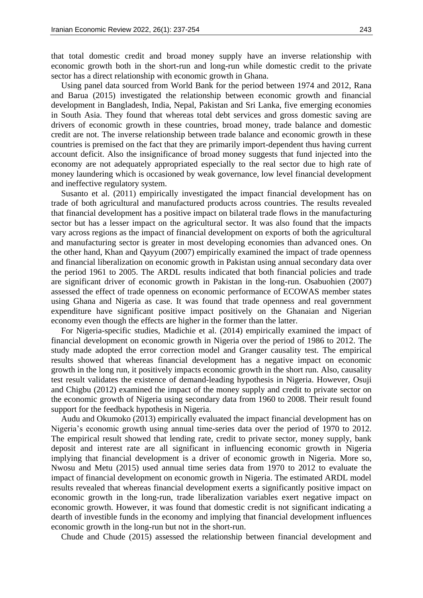that total domestic credit and broad money supply have an inverse relationship with economic growth both in the short-run and long-run while domestic credit to the private sector has a direct relationship with economic growth in Ghana.

Using panel data sourced from World Bank for the period between 1974 and 2012, Rana and Barua (2015) investigated the relationship between economic growth and financial development in Bangladesh, India, Nepal, Pakistan and Sri Lanka, five emerging economies in South Asia. They found that whereas total debt services and gross domestic saving are drivers of economic growth in these countries, broad money, trade balance and domestic credit are not. The inverse relationship between trade balance and economic growth in these countries is premised on the fact that they are primarily import-dependent thus having current account deficit. Also the insignificance of broad money suggests that fund injected into the economy are not adequately appropriated especially to the real sector due to high rate of money laundering which is occasioned by weak governance, low level financial development and ineffective regulatory system.

Susanto et al. (2011) empirically investigated the impact financial development has on trade of both agricultural and manufactured products across countries. The results revealed that financial development has a positive impact on bilateral trade flows in the manufacturing sector but has a lesser impact on the agricultural sector. It was also found that the impacts vary across regions as the impact of financial development on exports of both the agricultural and manufacturing sector is greater in most developing economies than advanced ones. On the other hand, Khan and Qayyum (2007) empirically examined the impact of trade openness and financial liberalization on economic growth in Pakistan using annual secondary data over the period 1961 to 2005. The ARDL results indicated that both financial policies and trade are significant driver of economic growth in Pakistan in the long-run. Osabuohien (2007) assessed the effect of trade openness on economic performance of ECOWAS member states using Ghana and Nigeria as case. It was found that trade openness and real government expenditure have significant positive impact positively on the Ghanaian and Nigerian economy even though the effects are higher in the former than the latter.

For Nigeria-specific studies, Madichie et al. (2014) empirically examined the impact of financial development on economic growth in Nigeria over the period of 1986 to 2012. The study made adopted the error correction model and Granger causality test. The empirical results showed that whereas financial development has a negative impact on economic growth in the long run, it positively impacts economic growth in the short run. Also, causality test result validates the existence of demand-leading hypothesis in Nigeria. However, Osuji and Chigbu (2012) examined the impact of the money supply and credit to private sector on the economic growth of Nigeria using secondary data from 1960 to 2008. Their result found support for the feedback hypothesis in Nigeria.

Audu and Okumoko (2013) empirically evaluated the impact financial development has on Nigeria's economic growth using annual time-series data over the period of 1970 to 2012. The empirical result showed that lending rate, credit to private sector, money supply, bank deposit and interest rate are all significant in influencing economic growth in Nigeria implying that financial development is a driver of economic growth in Nigeria. More so, Nwosu and Metu (2015) used annual time series data from 1970 to 2012 to evaluate the impact of financial development on economic growth in Nigeria. The estimated ARDL model results revealed that whereas financial development exerts a significantly positive impact on economic growth in the long-run, trade liberalization variables exert negative impact on economic growth. However, it was found that domestic credit is not significant indicating a dearth of investible funds in the economy and implying that financial development influences economic growth in the long-run but not in the short-run.

Chude and Chude (2015) assessed the relationship between financial development and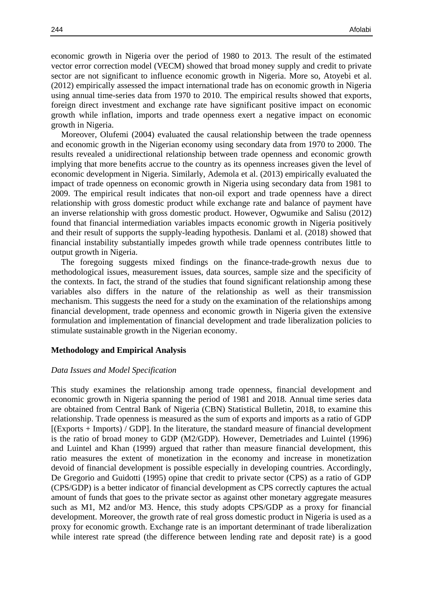economic growth in Nigeria over the period of 1980 to 2013. The result of the estimated vector error correction model (VECM) showed that broad money supply and credit to private sector are not significant to influence economic growth in Nigeria. More so, Atoyebi et al. (2012) empirically assessed the impact international trade has on economic growth in Nigeria using annual time-series data from 1970 to 2010. The empirical results showed that exports, foreign direct investment and exchange rate have significant positive impact on economic growth while inflation, imports and trade openness exert a negative impact on economic growth in Nigeria.

Moreover, Olufemi (2004) evaluated the causal relationship between the trade openness and economic growth in the Nigerian economy using secondary data from 1970 to 2000. The results revealed a unidirectional relationship between trade openness and economic growth implying that more benefits accrue to the country as its openness increases given the level of economic development in Nigeria. Similarly, Ademola et al. (2013) empirically evaluated the impact of trade openness on economic growth in Nigeria using secondary data from 1981 to 2009. The empirical result indicates that non-oil export and trade openness have a direct relationship with gross domestic product while exchange rate and balance of payment have an inverse relationship with gross domestic product. However, Ogwumike and Salisu (2012) found that financial intermediation variables impacts economic growth in Nigeria positively and their result of supports the supply-leading hypothesis. Danlami et al. (2018) showed that financial instability substantially impedes growth while trade openness contributes little to output growth in Nigeria.

The foregoing suggests mixed findings on the finance-trade-growth nexus due to methodological issues, measurement issues, data sources, sample size and the specificity of the contexts. In fact, the strand of the studies that found significant relationship among these variables also differs in the nature of the relationship as well as their transmission mechanism. This suggests the need for a study on the examination of the relationships among financial development, trade openness and economic growth in Nigeria given the extensive formulation and implementation of financial development and trade liberalization policies to stimulate sustainable growth in the Nigerian economy.

## **Methodology and Empirical Analysis**

## *Data Issues and Model Specification*

This study examines the relationship among trade openness, financial development and economic growth in Nigeria spanning the period of 1981 and 2018. Annual time series data are obtained from Central Bank of Nigeria (CBN) Statistical Bulletin, 2018, to examine this relationship. Trade openness is measured as the sum of exports and imports as a ratio of GDP [(Exports + Imports) / GDP]. In the literature, the standard measure of financial development is the ratio of broad money to GDP (M2/GDP). However, Demetriades and Luintel (1996) and Luintel and Khan (1999) argued that rather than measure financial development, this ratio measures the extent of monetization in the economy and increase in monetization devoid of financial development is possible especially in developing countries. Accordingly, De Gregorio and Guidotti (1995) opine that credit to private sector (CPS) as a ratio of GDP (CPS/GDP) is a better indicator of financial development as CPS correctly captures the actual amount of funds that goes to the private sector as against other monetary aggregate measures such as M1, M2 and/or M3. Hence, this study adopts CPS/GDP as a proxy for financial development. Moreover, the growth rate of real gross domestic product in Nigeria is used as a proxy for economic growth. Exchange rate is an important determinant of trade liberalization while interest rate spread (the difference between lending rate and deposit rate) is a good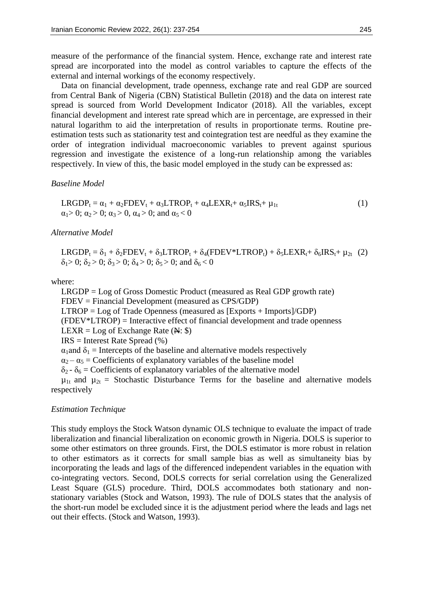measure of the performance of the financial system. Hence, exchange rate and interest rate spread are incorporated into the model as control variables to capture the effects of the external and internal workings of the economy respectively.

Data on financial development, trade openness, exchange rate and real GDP are sourced from Central Bank of Nigeria (CBN) Statistical Bulletin (2018) and the data on interest rate spread is sourced from World Development Indicator (2018). All the variables, except financial development and interest rate spread which are in percentage, are expressed in their natural logarithm to aid the interpretation of results in proportionate terms. Routine preestimation tests such as stationarity test and cointegration test are needful as they examine the order of integration individual macroeconomic variables to prevent against spurious regression and investigate the existence of a long-run relationship among the variables respectively. In view of this, the basic model employed in the study can be expressed as:

*Baseline Model*

 $LRGDP_t = \alpha_1 + \alpha_2 FDEV_t + \alpha_3 LTROP_t + \alpha_4 LEXR_t + \alpha_5 IRS_t + \mu_{1t}$  (1)  $\alpha_1 > 0$ ;  $\alpha_2 > 0$ ;  $\alpha_3 > 0$ ,  $\alpha_4 > 0$ ; and  $\alpha_5 < 0$ 

*Alternative Model*

 $LRGDP_t = \delta_1 + \delta_2 FDEV_t + \delta_3 LTROP_t + \delta_4 (FDEV^* LTROP_t) + \delta_5 LEXR_t + \delta_6 IRS_t + \mu_{2t}$  (2)  $\delta_1 > 0$ ;  $\delta_2 > 0$ ;  $\delta_3 > 0$ ;  $\delta_4 > 0$ ;  $\delta_5 > 0$ ; and  $\delta_6 < 0$ 

where:

LRGDP = Log of Gross Domestic Product (measured as Real GDP growth rate) FDEV = Financial Development (measured as CPS/GDP)

LTROP = Log of Trade Openness (measured as [Exports + Imports]/GDP)

(FDEV\*LTROP) = Interactive effect of financial development and trade openness

LEXR = Log of Exchange Rate  $(\mathbb{N}: \mathbb{S})$ 

IRS = Interest Rate Spread (%)

 $\alpha_1$  and  $\delta_1$  = Intercepts of the baseline and alternative models respectively

 $\alpha_2 - \alpha_5 =$  Coefficients of explanatory variables of the baseline model

 $\delta_2$  -  $\delta_6$  = Coefficients of explanatory variables of the alternative model

 $\mu_{1t}$  and  $\mu_{2t}$  = Stochastic Disturbance Terms for the baseline and alternative models respectively

## *Estimation Technique*

This study employs the Stock Watson dynamic OLS technique to evaluate the impact of trade liberalization and financial liberalization on economic growth in Nigeria. DOLS is superior to some other estimators on three grounds. First, the DOLS estimator is more robust in relation to other estimators as it corrects for small sample bias as well as simultaneity bias by incorporating the leads and lags of the differenced independent variables in the equation with co-integrating vectors. Second, DOLS corrects for serial correlation using the Generalized Least Square (GLS) procedure. Third, DOLS accommodates both stationary and nonstationary variables (Stock and Watson, 1993). The rule of DOLS states that the analysis of the short-run model be excluded since it is the adjustment period where the leads and lags net out their effects. (Stock and Watson, 1993).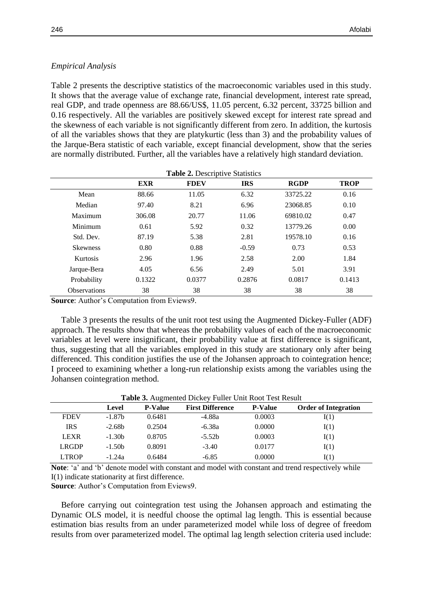# *Empirical Analysis*

Table 2 presents the descriptive statistics of the macroeconomic variables used in this study. It shows that the average value of exchange rate, financial development, interest rate spread, real GDP, and trade openness are 88.66/US\$, 11.05 percent, 6.32 percent, 33725 billion and 0.16 respectively. All the variables are positively skewed except for interest rate spread and the skewness of each variable is not significantly different from zero. In addition, the kurtosis of all the variables shows that they are platykurtic (less than 3) and the probability values of the Jarque-Bera statistic of each variable, except financial development, show that the series are normally distributed. Further, all the variables have a relatively high standard deviation.

|                     | <b>EXR</b> | <b>FDEV</b> | <b>IRS</b> | <b>RGDP</b> | <b>TROP</b> |
|---------------------|------------|-------------|------------|-------------|-------------|
| Mean                | 88.66      | 11.05       | 6.32       | 33725.22    | 0.16        |
| Median              | 97.40      | 8.21        | 6.96       | 23068.85    | 0.10        |
| Maximum             | 306.08     | 20.77       | 11.06      | 69810.02    | 0.47        |
| Minimum             | 0.61       | 5.92        | 0.32       | 13779.26    | 0.00        |
| Std. Dev.           | 87.19      | 5.38        | 2.81       | 19578.10    | 0.16        |
| <b>Skewness</b>     | 0.80       | 0.88        | $-0.59$    | 0.73        | 0.53        |
| <b>Kurtosis</b>     | 2.96       | 1.96        | 2.58       | 2.00        | 1.84        |
| Jarque-Bera         | 4.05       | 6.56        | 2.49       | 5.01        | 3.91        |
| Probability         | 0.1322     | 0.0377      | 0.2876     | 0.0817      | 0.1413      |
| <b>Observations</b> | 38         | 38          | 38         | 38          | 38          |

**Source**: Author's Computation from Eviews9.

Table 3 presents the results of the unit root test using the Augmented Dickey-Fuller (ADF) approach. The results show that whereas the probability values of each of the macroeconomic variables at level were insignificant, their probability value at first difference is significant, thus, suggesting that all the variables employed in this study are stationary only after being differenced. This condition justifies the use of the Johansen approach to cointegration hence; I proceed to examining whether a long-run relationship exists among the variables using the Johansen cointegration method.

| Table 3. Augmented Dickey Fuller Unit Root Test Result |          |                |                         |                |                             |  |  |
|--------------------------------------------------------|----------|----------------|-------------------------|----------------|-----------------------------|--|--|
|                                                        | Level    | <b>P-Value</b> | <b>First Difference</b> | <b>P-Value</b> | <b>Order of Integration</b> |  |  |
| <b>FDEV</b>                                            | $-1.87b$ | 0.6481         | -4.88a                  | 0.0003         | I(1)                        |  |  |
| <b>IRS</b>                                             | $-2.68b$ | 0.2504         | $-6.38a$                | 0.0000         | I(1)                        |  |  |
| <b>LEXR</b>                                            | $-1.30b$ | 0.8705         | $-5.52b$                | 0.0003         | I(1)                        |  |  |
| <b>LRGDP</b>                                           | $-1.50b$ | 0.8091         | $-3.40$                 | 0.0177         | I(1)                        |  |  |
| <b>LTROP</b>                                           | $-1.24a$ | 0.6484         | $-6.85$                 | 0.0000         | I(1)                        |  |  |

**Note**: 'a' and 'b' denote model with constant and model with constant and trend respectively while I(1) indicate stationarity at first difference.

**Source**: Author's Computation from Eviews9.

Before carrying out cointegration test using the Johansen approach and estimating the Dynamic OLS model, it is needful choose the optimal lag length. This is essential because estimation bias results from an under parameterized model while loss of degree of freedom results from over parameterized model. The optimal lag length selection criteria used include: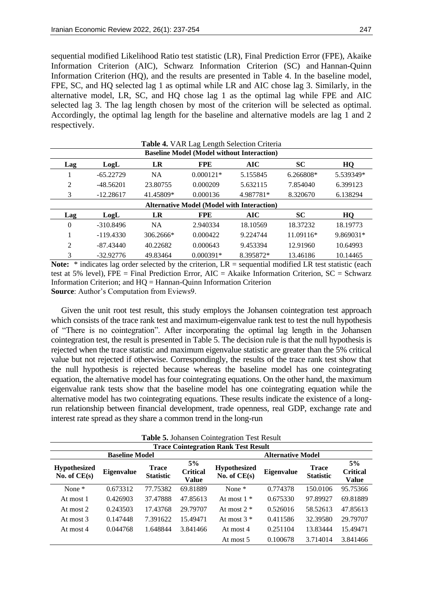sequential modified Likelihood Ratio test statistic (LR), Final Prediction Error (FPE), Akaike Information Criterion (AIC), Schwarz Information Criterion (SC) and Hannan-Quinn Information Criterion (HQ), and the results are presented in Table 4. In the baseline model, FPE, SC, and HQ selected lag 1 as optimal while LR and AIC chose lag 3. Similarly, in the alternative model, LR, SC, and HQ chose lag 1 as the optimal lag while FPE and AIC selected lag 3. The lag length chosen by most of the criterion will be selected as optimal. Accordingly, the optimal lag length for the baseline and alternative models are lag 1 and 2 respectively.

|                                                   | <b>Table 4. VAR Lag Length Selection Criteria</b> |           |             |            |             |           |  |  |  |
|---------------------------------------------------|---------------------------------------------------|-----------|-------------|------------|-------------|-----------|--|--|--|
| <b>Baseline Model (Model without Interaction)</b> |                                                   |           |             |            |             |           |  |  |  |
| Lag                                               | LogL                                              | LR        | <b>FPE</b>  | <b>AIC</b> | <b>SC</b>   | HQ        |  |  |  |
|                                                   | $-65.22729$                                       | <b>NA</b> | $0.000121*$ | 5.155845   | $6.266808*$ | 5.539349* |  |  |  |
| $\overline{2}$                                    | $-48.56201$                                       | 23.80755  | 0.000209    | 5.632115   | 7.854040    | 6.399123  |  |  |  |
| 3                                                 | $-12.28617$                                       | 41.45809* | 0.000136    | 4.987781*  | 8.320670    | 6.138294  |  |  |  |
|                                                   | <b>Alternative Model (Model with Interaction)</b> |           |             |            |             |           |  |  |  |
| Lag                                               | LogL                                              | LR        | <b>FPE</b>  | AIC        | <b>SC</b>   | HQ        |  |  |  |
| $\mathbf{0}$                                      | $-310.8496$                                       | <b>NA</b> | 2.940334    | 18.10569   | 18.37232    | 18.19773  |  |  |  |
| 1                                                 | $-119.4330$                                       | 306.2666* | 0.000422    | 9.224744   | 11.09116*   | 9.869031* |  |  |  |
| 2                                                 | $-87.43440$                                       | 40.22682  | 0.000643    | 9.453394   | 12.91960    | 10.64993  |  |  |  |
| 3                                                 | $-32.92776$                                       | 49.83464  | $0.000391*$ | 8.395872*  | 13.46186    | 10.14465  |  |  |  |

Note: \* indicates lag order selected by the criterion, LR = sequential modified LR test statistic (each test at 5% level), FPE = Final Prediction Error, AIC = Akaike Information Criterion, SC = Schwarz Information Criterion; and HQ = Hannan-Quinn Information Criterion **Source**: Author's Computation from Eviews9.

Given the unit root test result, this study employs the Johansen cointegration test approach which consists of the trace rank test and maximum-eigenvalue rank test to test the null hypothesis of "There is no cointegration". After incorporating the optimal lag length in the Johansen cointegration test, the result is presented in Table 5. The decision rule is that the null hypothesis is rejected when the trace statistic and maximum eigenvalue statistic are greater than the 5% critical value but not rejected if otherwise. Correspondingly, the results of the trace rank test show that the null hypothesis is rejected because whereas the baseline model has one cointegrating equation, the alternative model has four cointegrating equations. On the other hand, the maximum eigenvalue rank tests show that the baseline model has one cointegrating equation while the alternative model has two cointegrating equations. These results indicate the existence of a longrun relationship between financial development, trade openness, real GDP, exchange rate and interest rate spread as they share a common trend in the long-run

**Trace Cointegration Rank Test Result Baseline Model Alternative Model Hypothesized Hypothesized Eigenvalue Trace**<br>No. of CE(s) **Eigenvalue Statisti Statistic 5% Critical Value Hypothesized Eigenvalue Trace**<br> **No. of CE(s) Eigenvalue Statisti Statistic 5% Critical Value** None \* 0.673312 77.75382 69.81889 None \* 0.774378 150.0106 95.75366 At most 1 0.426903 37.47888 47.85613 At most 1 \* 0.675330 97.89927 69.81889 At most 2 0.243503 17.43768 29.79707 At most 2 \* 0.526016 58.52613 47.85613 At most 3 0.147448 7.391622 15.49471 At most 3 \* 0.411586 32.39580 29.79707 At most 4 0.044768 1.648844 3.841466 At most 4 0.251104 13.83444 15.49471 At most 5 0.100678 3.714014 3.841466

**Table 5.** Johansen Cointegration Test Result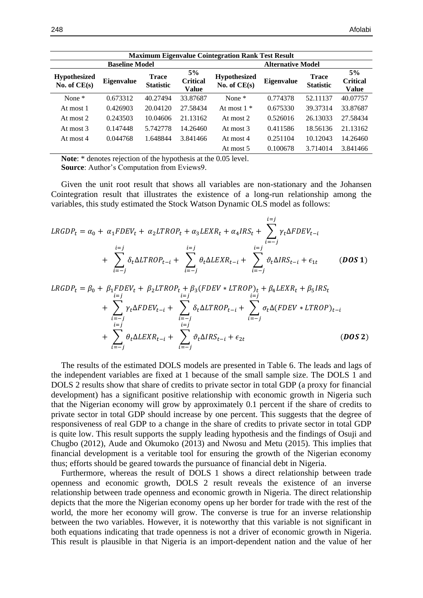| <b>Maximum Eigenvalue Cointegration Rank Test Result</b> |            |                                  |                                |                                       |                          |                                  |                                |  |  |
|----------------------------------------------------------|------------|----------------------------------|--------------------------------|---------------------------------------|--------------------------|----------------------------------|--------------------------------|--|--|
| <b>Baseline Model</b>                                    |            |                                  |                                |                                       | <b>Alternative Model</b> |                                  |                                |  |  |
| <b>Hypothesized</b><br>No. of $CE(s)$                    | Eigenvalue | <b>Trace</b><br><b>Statistic</b> | 5%<br><b>Critical</b><br>Value | <b>Hypothesized</b><br>No. of $CE(s)$ | <b>Eigenvalue</b>        | <b>Trace</b><br><b>Statistic</b> | 5%<br><b>Critical</b><br>Value |  |  |
| None $*$                                                 | 0.673312   | 40.27494                         | 33.87687                       | None $*$                              | 0.774378                 | 52.11137                         | 40.07757                       |  |  |
| At most 1                                                | 0.426903   | 20.04120                         | 27.58434                       | At most $1 *$                         | 0.675330                 | 39.37314                         | 33.87687                       |  |  |
| At most 2                                                | 0.243503   | 10.04606                         | 21.13162                       | At most 2                             | 0.526016                 | 26.13033                         | 27.58434                       |  |  |
| At most 3                                                | 0.147448   | 5.742778                         | 14.26460                       | At most 3                             | 0.411586                 | 18.56136                         | 21.13162                       |  |  |
| At most 4                                                | 0.044768   | 1.648844                         | 3.841466                       | At most 4                             | 0.251104                 | 10.12043                         | 14.26460                       |  |  |
|                                                          |            |                                  |                                | At most 5                             | 0.100678                 | 3.714014                         | 3.841466                       |  |  |

**Note**: \* denotes rejection of the hypothesis at the 0.05 level. **Source**: Author's Computation from Eviews9.

Given the unit root result that shows all variables are non-stationary and the Johansen Cointegration result that illustrates the existence of a long-run relationship among the variables, this study estimated the Stock Watson Dynamic OLS model as follows:

$$
LRGDP_t = \alpha_0 + \alpha_1 FDEV_t + \alpha_2 LTROP_t + \alpha_3 LEXR_t + \alpha_4 IRS_t + \sum_{i=-j}^{i=j} \gamma_t \Delta FDEV_{t-i}
$$
  
+ 
$$
\sum_{i=-j}^{i=j} \delta_t \Delta LTROP_{t-i} + \sum_{i=-j}^{i=j} \theta_t \Delta LEXR_{t-i} + \sum_{i=-j}^{i=j} \vartheta_t \Delta IRS_{t-i} + \epsilon_{1t}
$$
 (DOS 1)

$$
LRGDP_{t} = \beta_{0} + \beta_{1} FDEV_{t} + \beta_{2} LTROP_{t} + \beta_{3} (FDEV * LTROP)_{t} + \beta_{4} LEXR_{t} + \beta_{5} IRS_{t}
$$
  
+ 
$$
\sum_{\substack{i=-j \ i=0}}^{i=j} \gamma_{t} \Delta FDEV_{t-i} + \sum_{\substack{i=-j \ i=1 \ i=1}}^{i=j} \delta_{t} \Delta LTROP_{t-i} + \sum_{i=-j}^{i=j} \sigma_{t} \Delta (FDEV * LTROP)_{t-i}
$$
  
+ 
$$
\sum_{i=-j}^{i=j} \theta_{t} \Delta LEXR_{t-i} + \sum_{i=-j}^{i=j} \vartheta_{t} \Delta IRS_{t-i} + \epsilon_{2t}
$$
 (DOS 2)

The results of the estimated DOLS models are presented in Table 6. The leads and lags of the independent variables are fixed at 1 because of the small sample size. The DOLS 1 and DOLS 2 results show that share of credits to private sector in total GDP (a proxy for financial development) has a significant positive relationship with economic growth in Nigeria such that the Nigerian economy will grow by approximately 0.1 percent if the share of credits to private sector in total GDP should increase by one percent. This suggests that the degree of responsiveness of real GDP to a change in the share of credits to private sector in total GDP is quite low. This result supports the supply leading hypothesis and the findings of Osuji and Chugbo (2012), Aude and Okumoko (2013) and Nwosu and Metu (2015). This implies that financial development is a veritable tool for ensuring the growth of the Nigerian economy thus; efforts should be geared towards the pursuance of financial debt in Nigeria.

Furthermore, whereas the result of DOLS 1 shows a direct relationship between trade openness and economic growth, DOLS 2 result reveals the existence of an inverse relationship between trade openness and economic growth in Nigeria. The direct relationship depicts that the more the Nigerian economy opens up her border for trade with the rest of the world, the more her economy will grow. The converse is true for an inverse relationship between the two variables. However, it is noteworthy that this variable is not significant in both equations indicating that trade openness is not a driver of economic growth in Nigeria. This result is plausible in that Nigeria is an import-dependent nation and the value of her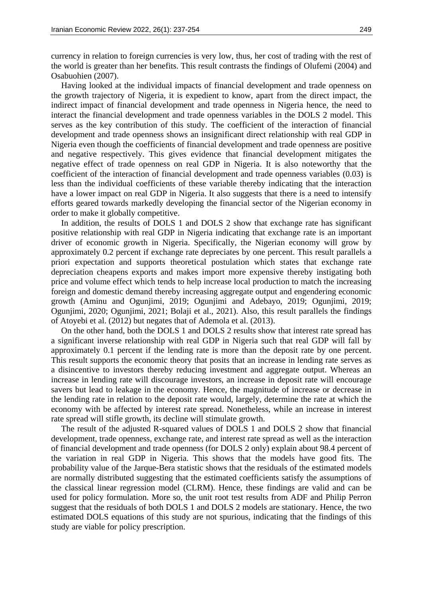currency in relation to foreign currencies is very low, thus, her cost of trading with the rest of the world is greater than her benefits. This result contrasts the findings of Olufemi (2004) and Osabuohien (2007).

Having looked at the individual impacts of financial development and trade openness on the growth trajectory of Nigeria, it is expedient to know, apart from the direct impact, the indirect impact of financial development and trade openness in Nigeria hence, the need to interact the financial development and trade openness variables in the DOLS 2 model. This serves as the key contribution of this study. The coefficient of the interaction of financial development and trade openness shows an insignificant direct relationship with real GDP in Nigeria even though the coefficients of financial development and trade openness are positive and negative respectively. This gives evidence that financial development mitigates the negative effect of trade openness on real GDP in Nigeria. It is also noteworthy that the coefficient of the interaction of financial development and trade openness variables (0.03) is less than the individual coefficients of these variable thereby indicating that the interaction have a lower impact on real GDP in Nigeria. It also suggests that there is a need to intensify efforts geared towards markedly developing the financial sector of the Nigerian economy in order to make it globally competitive.

In addition, the results of DOLS 1 and DOLS 2 show that exchange rate has significant positive relationship with real GDP in Nigeria indicating that exchange rate is an important driver of economic growth in Nigeria. Specifically, the Nigerian economy will grow by approximately 0.2 percent if exchange rate depreciates by one percent. This result parallels a priori expectation and supports theoretical postulation which states that exchange rate depreciation cheapens exports and makes import more expensive thereby instigating both price and volume effect which tends to help increase local production to match the increasing foreign and domestic demand thereby increasing aggregate output and engendering economic growth (Aminu and Ogunjimi, 2019; Ogunjimi and Adebayo, 2019; Ogunjimi, 2019; Ogunjimi, 2020; Ogunjimi, 2021; Bolaji et al., 2021). Also, this result parallels the findings of Atoyebi et al. (2012) but negates that of Ademola et al. (2013).

On the other hand, both the DOLS 1 and DOLS 2 results show that interest rate spread has a significant inverse relationship with real GDP in Nigeria such that real GDP will fall by approximately 0.1 percent if the lending rate is more than the deposit rate by one percent. This result supports the economic theory that posits that an increase in lending rate serves as a disincentive to investors thereby reducing investment and aggregate output. Whereas an increase in lending rate will discourage investors, an increase in deposit rate will encourage savers but lead to leakage in the economy. Hence, the magnitude of increase or decrease in the lending rate in relation to the deposit rate would, largely, determine the rate at which the economy with be affected by interest rate spread. Nonetheless, while an increase in interest rate spread will stifle growth, its decline will stimulate growth.

The result of the adjusted R-squared values of DOLS 1 and DOLS 2 show that financial development, trade openness, exchange rate, and interest rate spread as well as the interaction of financial development and trade openness (for DOLS 2 only) explain about 98.4 percent of the variation in real GDP in Nigeria. This shows that the models have good fits. The probability value of the Jarque-Bera statistic shows that the residuals of the estimated models are normally distributed suggesting that the estimated coefficients satisfy the assumptions of the classical linear regression model (CLRM). Hence, these findings are valid and can be used for policy formulation. More so, the unit root test results from ADF and Philip Perron suggest that the residuals of both DOLS 1 and DOLS 2 models are stationary. Hence, the two estimated DOLS equations of this study are not spurious, indicating that the findings of this study are viable for policy prescription.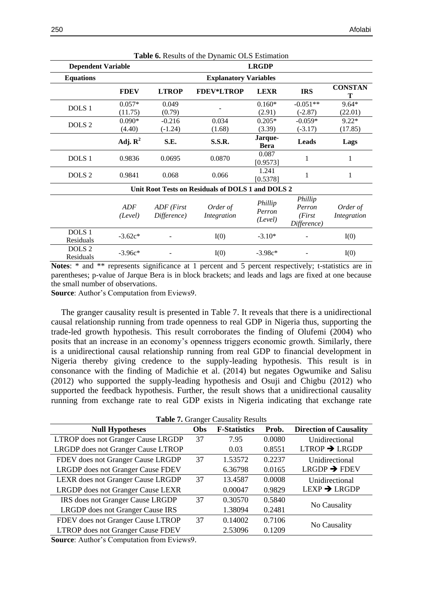| <b>Dependent Variable</b>      |                       |                              |                                                   | <b>LRGDP</b>                 |                                             |                         |  |
|--------------------------------|-----------------------|------------------------------|---------------------------------------------------|------------------------------|---------------------------------------------|-------------------------|--|
| <b>Equations</b>               |                       | <b>Explanatory Variables</b> |                                                   |                              |                                             |                         |  |
|                                | <b>FDEV</b>           | <b>LTROP</b>                 | <b>FDEV*LTROP</b>                                 | <b>LEXR</b>                  | <b>IRS</b>                                  | <b>CONSTAN</b><br>т     |  |
| DOLS <sub>1</sub>              | $0.057*$<br>(11.75)   | 0.049<br>(0.79)              |                                                   | $0.160*$<br>(2.91)           | $-0.051**$<br>$(-2.87)$                     | $9.64*$<br>(22.01)      |  |
| DOLS <sub>2</sub>              | $0.090*$<br>(4.40)    | $-0.216$<br>$(-1.24)$        | 0.034<br>(1.68)                                   | $0.205*$<br>(3.39)           | $-0.059*$<br>$(-3.17)$                      | $9.22*$<br>(17.85)      |  |
|                                | Adj. $\mathbb{R}^2$   | S.E.                         | <b>S.S.R.</b>                                     | Jarque-<br><b>Bera</b>       | <b>Leads</b>                                | Lags                    |  |
| DOLS <sub>1</sub>              | 0.9836                | 0.0695                       | 0.0870                                            | 0.087<br>[0.9573]            | 1                                           | 1                       |  |
| DOLS <sub>2</sub>              | 0.9841                | 0.068                        | 0.066                                             | 1.241<br>[0.5378]            | 1                                           | 1                       |  |
|                                |                       |                              | Unit Root Tests on Residuals of DOLS 1 and DOLS 2 |                              |                                             |                         |  |
|                                | <b>ADF</b><br>(Level) | ADF (First<br>Difference)    | Order of<br>Integration                           | Phillip<br>Perron<br>(Level) | Phillip<br>Perron<br>(First)<br>Difference) | Order of<br>Integration |  |
| DOLS <sub>1</sub><br>Residuals | $-3.62c*$             |                              | I(0)                                              | $-3.10*$                     |                                             | I(0)                    |  |
| DOLS <sub>2</sub><br>Residuals | $-3.96c*$             |                              | I(0)                                              | $-3.98c*$                    |                                             | I(0)                    |  |

**Table 6.** Results of the Dynamic OLS Estimation

**Notes**: \* and \*\* represents significance at 1 percent and 5 percent respectively; t-statistics are in parentheses; p-value of Jarque Bera is in block brackets; and leads and lags are fixed at one because the small number of observations.

**Source**: Author's Computation from Eviews9.

The granger causality result is presented in Table 7. It reveals that there is a unidirectional causal relationship running from trade openness to real GDP in Nigeria thus, supporting the trade-led growth hypothesis. This result corroborates the finding of Olufemi (2004) who posits that an increase in an economy's openness triggers economic growth. Similarly, there is a unidirectional causal relationship running from real GDP to financial development in Nigeria thereby giving credence to the supply-leading hypothesis. This result is in consonance with the finding of Madichie et al. (2014) but negates Ogwumike and Salisu (2012) who supported the supply-leading hypothesis and Osuji and Chigbu (2012) who supported the feedback hypothesis. Further, the result shows that a unidirectional causality running from exchange rate to real GDP exists in Nigeria indicating that exchange rate

**Table 7.** Granger Causality Results

| <b>Null Hypotheses</b>                   | Obs | <b>F-Statistics</b> | Prob.  | <b>Direction of Causality</b> |
|------------------------------------------|-----|---------------------|--------|-------------------------------|
| LTROP does not Granger Cause LRGDP       | 37  | 7.95                | 0.0080 | Unidirectional                |
| LRGDP does not Granger Cause LTROP       |     | 0.03                | 0.8551 | $LTROP \rightarrow LRGDP$     |
| FDEV does not Granger Cause LRGDP        | 37  | 1.53572             | 0.2237 | Unidirectional                |
| <b>LRGDP</b> does not Granger Cause FDEV |     | 6.36798             | 0.0165 | $LRGDP \rightarrow FDEV$      |
| <b>LEXR</b> does not Granger Cause LRGDP | 37  | 13.4587             | 0.0008 | Unidirectional                |
| LRGDP does not Granger Cause LEXR        |     | 0.00047             | 0.9829 | $LEXP \rightarrow LRGDP$      |
| IRS does not Granger Cause LRGDP         | 37  | 0.30570             | 0.5840 |                               |
| LRGDP does not Granger Cause IRS         |     | 1.38094             | 0.2481 | No Causality                  |
| FDEV does not Granger Cause LTROP        | 37  | 0.14002             | 0.7106 |                               |
| <b>LTROP</b> does not Granger Cause FDEV |     | 2.53096             | 0.1209 | No Causality                  |

**Source**: Author's Computation from Eviews9.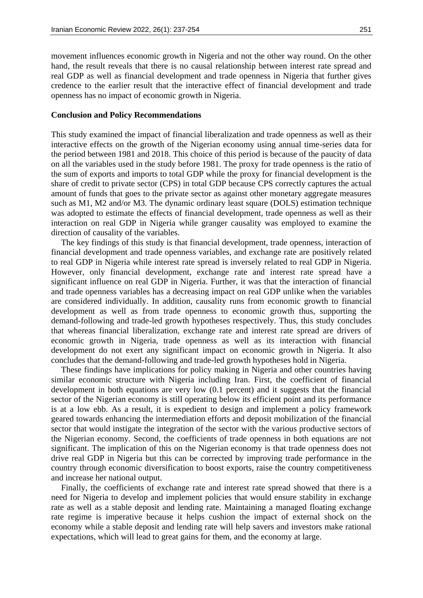movement influences economic growth in Nigeria and not the other way round. On the other hand, the result reveals that there is no causal relationship between interest rate spread and real GDP as well as financial development and trade openness in Nigeria that further gives credence to the earlier result that the interactive effect of financial development and trade openness has no impact of economic growth in Nigeria.

#### **Conclusion and Policy Recommendations**

This study examined the impact of financial liberalization and trade openness as well as their interactive effects on the growth of the Nigerian economy using annual time-series data for the period between 1981 and 2018. This choice of this period is because of the paucity of data on all the variables used in the study before 1981. The proxy for trade openness is the ratio of the sum of exports and imports to total GDP while the proxy for financial development is the share of credit to private sector (CPS) in total GDP because CPS correctly captures the actual amount of funds that goes to the private sector as against other monetary aggregate measures such as M1, M2 and/or M3. The dynamic ordinary least square (DOLS) estimation technique was adopted to estimate the effects of financial development, trade openness as well as their interaction on real GDP in Nigeria while granger causality was employed to examine the direction of causality of the variables.

The key findings of this study is that financial development, trade openness, interaction of financial development and trade openness variables, and exchange rate are positively related to real GDP in Nigeria while interest rate spread is inversely related to real GDP in Nigeria. However, only financial development, exchange rate and interest rate spread have a significant influence on real GDP in Nigeria. Further, it was that the interaction of financial and trade openness variables has a decreasing impact on real GDP unlike when the variables are considered individually. In addition, causality runs from economic growth to financial development as well as from trade openness to economic growth thus, supporting the demand-following and trade-led growth hypotheses respectively. Thus, this study concludes that whereas financial liberalization, exchange rate and interest rate spread are drivers of economic growth in Nigeria, trade openness as well as its interaction with financial development do not exert any significant impact on economic growth in Nigeria. It also concludes that the demand-following and trade-led growth hypotheses hold in Nigeria.

These findings have implications for policy making in Nigeria and other countries having similar economic structure with Nigeria including Iran. First, the coefficient of financial development in both equations are very low (0.1 percent) and it suggests that the financial sector of the Nigerian economy is still operating below its efficient point and its performance is at a low ebb. As a result, it is expedient to design and implement a policy framework geared towards enhancing the intermediation efforts and deposit mobilization of the financial sector that would instigate the integration of the sector with the various productive sectors of the Nigerian economy. Second, the coefficients of trade openness in both equations are not significant. The implication of this on the Nigerian economy is that trade openness does not drive real GDP in Nigeria but this can be corrected by improving trade performance in the country through economic diversification to boost exports, raise the country competitiveness and increase her national output.

Finally, the coefficients of exchange rate and interest rate spread showed that there is a need for Nigeria to develop and implement policies that would ensure stability in exchange rate as well as a stable deposit and lending rate. Maintaining a managed floating exchange rate regime is imperative because it helps cushion the impact of external shock on the economy while a stable deposit and lending rate will help savers and investors make rational expectations, which will lead to great gains for them, and the economy at large.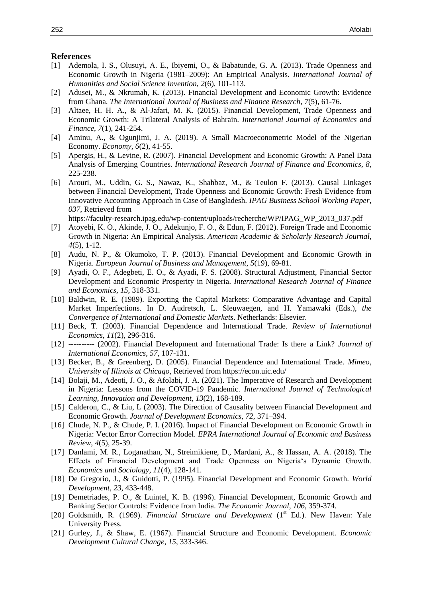#### **References**

- [1] Ademola, I. S., Olusuyi, A. E., Ibiyemi, O., & Babatunde, G. A. (2013). Trade Openness and Economic Growth in Nigeria (1981–2009): An Empirical Analysis. *International Journal of Humanities and Social Science Invention, 2*(6), 101-113.
- [2] Adusei, M., & Nkrumah, K. (2013). Financial Development and Economic Growth: Evidence from Ghana. *The International Journal of Business and Finance Research*, *7*(5), 61-76.
- [3] Altaee, H. H. A., & Al-Jafari, M. K. (2015). Financial Development, Trade Openness and Economic Growth: A Trilateral Analysis of Bahrain. *International Journal of Economics and Finance*, *7*(1), 241-254.
- [4] Aminu, A., & Ogunjimi, J. A. (2019). A Small Macroeconometric Model of the Nigerian Economy. *Economy*, *6*(2), 41-55.
- [5] Apergis, H., & Levine, R. (2007). Financial Development and Economic Growth: A Panel Data Analysis of Emerging Countries. *International Research Journal of Finance and Economics, 8*, 225-238.
- [6] Arouri, M., Uddin, G. S., Nawaz, K., Shahbaz, M., & Teulon F. (2013). Causal Linkages between Financial Development, Trade Openness and Economic Growth: Fresh Evidence from Innovative Accounting Approach in Case of Bangladesh. *IPAG Business School Working Paper, 037*, Retrieved from

https://faculty-research.ipag.edu/wp-content/uploads/recherche/WP/IPAG\_WP\_2013\_037.pdf

- [7] Atoyebi, K. O., Akinde, J. O., Adekunjo, F. O., & Edun, F. (2012). Foreign Trade and Economic Growth in Nigeria: An Empirical Analysis. *American Academic & Scholarly Research Journal*, *4*(5), 1-12.
- [8] Audu, N. P., & Okumoko, T. P. (2013). Financial Development and Economic Growth in Nigeria. *European Journal of Business and Management*, *5*(19), 69-81.
- [9] Ayadi, O. F., Adegbeti, E. O., & Ayadi, F. S. (2008). Structural Adjustment, Financial Sector Development and Economic Prosperity in Nigeria. *International Research Journal of Finance and Economics, 15*, 318-331.
- [10] Baldwin, R. E. (1989). Exporting the Capital Markets: Comparative Advantage and Capital Market Imperfections. In D. Audretsch, L. Sleuwaegen, and H. Yamawaki (Eds.), *the Convergence of International and Domestic Markets*. Netherlands: Elsevier.
- [11] Beck, T. (2003). Financial Dependence and International Trade. *Review of International Economics*, *11*(2), 296-316.
- [12] ---------- (2002). Financial Development and International Trade: Is there a Link? *Journal of International Economics*, *57*, 107-131.
- [13] Becker, B., & Greenberg, D. (2005). Financial Dependence and International Trade. *Mimeo*, *University of Illinois at Chicago*, Retrieved from https://econ.uic.edu/
- [14] Bolaji, M., Adeoti, J. O., & Afolabi, J. A. (2021). The Imperative of Research and Development in Nigeria: Lessons from the COVID-19 Pandemic. *International Journal of Technological Learning, Innovation and Development*, *13*(2), 168-189.
- [15] Calderon, C., & Liu, L (2003). The Direction of Causality between Financial Development and Economic Growth. *Journal of Development Economics*, *72*, 371–394.
- [16] Chude, N. P., & Chude, P. I. (2016). Impact of Financial Development on Economic Growth in Nigeria: Vector Error Correction Model. *EPRA International Journal of Economic and Business Review*, *4*(5), 25-39.
- [17] Danlami, M. R., Loganathan, N., Streimikiene, D., Mardani, A., & Hassan, A. A. (2018). The Effects of Financial Development and Trade Openness on Nigeria's Dynamic Growth. *Economics and Sociology*, *11*(4), 128-141.
- [18] De Gregorio, J., & Guidotti, P. (1995). Financial Development and Economic Growth. *World Development*, *23*, 433-448.
- [19] Demetriades, P. O., & Luintel, K. B. (1996). Financial Development, Economic Growth and Banking Sector Controls: Evidence from India. *The Economic Journal*, *106*, 359-374.
- [20] Goldsmith, R. (1969). *Financial Structure and Development* (1<sup>st</sup> Ed.). New Haven: Yale University Press.
- [21] Gurley, J., & Shaw, E. (1967). Financial Structure and Economic Development. *Economic Development Cultural Change, 15*, 333-346.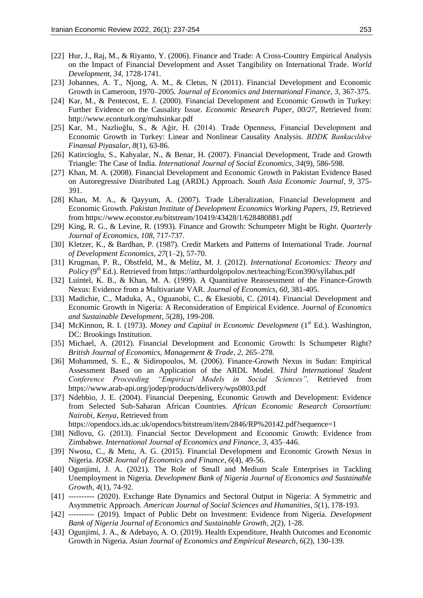- [22] Hur, J., Raj, M., & Riyanto, Y. (2006). Finance and Trade: A Cross-Country Empirical Analysis on the Impact of Financial Development and Asset Tangibility on International Trade. *World Development, 34*, 1728-1741.
- [23] Johannes, A. T., Njong, A. M., & Cletus, N (2011). Financial Development and Economic Growth in Cameroon, 1970–2005. *Journal of Economics and International Finance, 3*, 367-375.
- [24] Kar, M., & Pentecost, E. J. (2000). Financial Development and Economic Growth in Turkey: Further Evidence on the Causality Issue. *Economic Research Paper, 00/27*, Retrieved from: http://www.econturk.org/muhsinkar.pdf
- [25] Kar, M., Nazlioğlu, S., & Ağir, H. (2014). Trade Openness, Financial Development and Economic Growth in Turkey: Linear and Nonlinear Causality Analysis. *BDDK Bankacılıkve Finansal Piyasalar*, *8*(1), 63-86.
- [26] Katircioglu, S., Kahyalar, N., & Benar, H. (2007). Financial Development, Trade and Growth Triangle: The Case of India. *International Journal of Social Economics*, *34*(9), 586-598.
- [27] Khan, M. A. (2008). Financial Development and Economic Growth in Pakistan Evidence Based on Autoregressive Distributed Lag (ARDL) Approach. *South Asia Economic Journal*, *9*, 375- 391.
- [28] Khan, M. A., & Qayyum, A. (2007). Trade Liberalization, Financial Development and Economic Growth. *Pakistan Institute of Development Economics Working Papers, 19*, Retrieved from https://www.econstor.eu/bitstream/10419/43428/1/628480881.pdf
- [29] King, R. G., & Levine, R. (1993). Finance and Growth: Schumpeter Might be Right. *Quarterly Journal of Economics*, *108*, 717-737.
- [30] Kletzer, K., & Bardhan, P. (1987). Credit Markets and Patterns of International Trade. *Journal of Development Economics, 27*(1–2), 57-70.
- [31] Krugman, P. R., Obstfeld, M., & Melitz, M. J. (2012). *International Economics: Theory and Policy* (9<sup>th</sup> Ed.). Retrieved from https://arthurdolgopolov.net/teaching/Econ390/syllabus.pdf
- [32] Luintel, K. B., & Khan, M. A. (1999). A Quantitative Reassessment of the Finance-Growth Nexus: Evidence from a Multivariate VAR. *Journal of Economics, 60*, 381-405.
- [33] Madichie, C., Maduka, A., Oguanobi, C., & Ekesiobi, C. (2014). Financial Development and Economic Growth in Nigeria: A Reconsideration of Empirical Evidence. *Journal of Economics and Sustainable Development*, *5*(28), 199-208.
- [34] McKinnon, R. I. (1973). *Money and Capital in Economic Development* (1<sup>st</sup> Ed.). Washington, DC: Brookings Institution.
- [35] Michael, A. (2012). Financial Development and Economic Growth: Is Schumpeter Right? *British Journal of Economics, Management & Trade*, *2*, 265–278.
- [36] Mohammed, S. E., & Sidiropoulos, M. (2006). Finance-Growth Nexus in Sudan: Empirical Assessment Based on an Application of the ARDL Model. *Third International Student Conference Proceeding "Empirical Models in Social Sciences",* Retrieved from https://www.arab-api.org/jodep/products/delivery/wps0803.pdf
- [37] Ndebbio, J. E. (2004). Financial Deepening, Economic Growth and Development: Evidence from Selected Sub-Saharan African Countries. *African Economic Research Consortium*: *Nairobi, Kenya*, Retrieved from

https://opendocs.ids.ac.uk/opendocs/bitstream/item/2846/RP%20142.pdf?sequence=1

- [38] Ndlovu, G. (2013). Financial Sector Development and Economic Growth: Evidence from Zimbabwe. *International Journal of Economics and Finance, 3*, 435–446.
- [39] Nwosu, C., & Metu, A. G. (2015). Financial Development and Economic Growth Nexus in Nigeria. *IOSR Journal of Economics and Finance*, *6*(4), 49-56.
- [40] Ogunjimi, J. A. (2021). The Role of Small and Medium Scale Enterprises in Tackling Unemployment in Nigeria. *Development Bank of Nigeria Journal of Economics and Sustainable Growth*, *4*(1), 74-92.
- [41] ---------- (2020). Exchange Rate Dynamics and Sectoral Output in Nigeria: A Symmetric and Asymmetric Approach. *American Journal of Social Sciences and Humanities*, *5*(1), 178-193.
- [42] ---------- (2019). Impact of Public Debt on Investment: Evidence from Nigeria. *Development Bank of Nigeria Journal of Economics and Sustainable Growth*, *2*(2), 1-28.
- [43] Ogunjimi, J. A., & Adebayo, A. O. (2019). Health Expenditure, Health Outcomes and Economic Growth in Nigeria. *Asian Journal of Economics and Empirical Research*, *6*(2), 130-139.